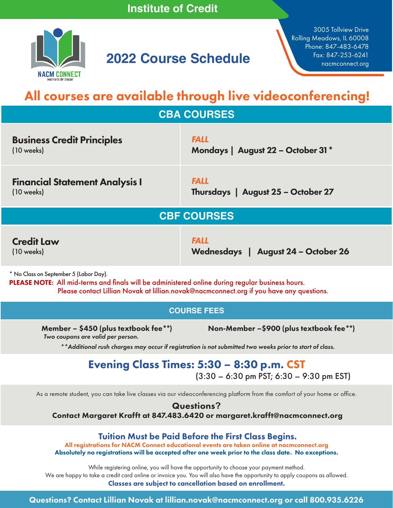

# **2022 Course Schedule**

3005 Tollview Drive Rolling Meadows, IL 60008 Phone: 847-483-6478

# All courses are available through live videoconferencing!

**CBA COURSES**

| <b>Business Credit Principles</b>                                                                                                          | <b>FALL</b>                         |  |
|--------------------------------------------------------------------------------------------------------------------------------------------|-------------------------------------|--|
| $(10 \text{ weeks})$                                                                                                                       | Mondays   August 22 - October 31*   |  |
| <b>Financial Statement Analysis I</b>                                                                                                      | <b>FALL</b>                         |  |
| $(10 \text{ weeks})$                                                                                                                       | Thursdays   August 25 - October 27  |  |
| <b>CBF COURSES</b>                                                                                                                         |                                     |  |
| <b>Credit Law</b>                                                                                                                          | <b>FALL</b>                         |  |
| $(10 \text{ weeks})$                                                                                                                       | Wednesdays   August 24 - October 26 |  |
| * No Class on September 5 (Labor Day).<br>PLEASE NOTE: All mid-terms and finals will be administered online during regular business hours. |                                     |  |

Please contact Lillian Novak at lillian.novak@nacmconnect.org if you have any questions.

### **COURSE FEES**

 *Two coupons are valid per person.*

Member – \$450 (plus textbook fee\*\*) Non-Member –\$900 (plus textbook fee\*\*)

*\*\*Additional rush charges may occur if registration is not submitted two weeks prior to start of class.*

## Evening Class Times: 5:30 – 8:30 p.m. CST

(3:30 – 6:30 pm PST; 6:30 – 9:30 pm EST)

As a remote student, you can take live classes via our videoconferencing platform from the comfort of your home or office.

Questions**?** Contact Margaret Krafft at 847.483.6420 or margaret.krafft@nacmconnect.org

### Tuition Must be Paid Before the First Class Begins.

All registrations for NACM Connect educational events are taken online at nacmconnect.org Absolutely no registrations will be accepted after one week prior to the class date. No exceptions.

While registering online, you will have the opportunity to choose your payment method. We are happy to take a credit card online or invoice you. You will also have the opportunity to apply coupons as allowed.

Classes are subject to cancellation based on enrollment.

Questions? Contact Lillian Novak at lillian.novak@nacmconnect.org or call 800.935.6226